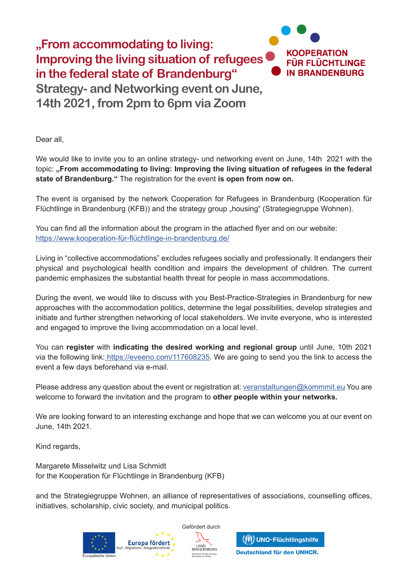

Dear all,

We would like to invite you to an online strategy- und networking event on June, 14th 2021 with the topic: "From accommodating to living: Improving the living situation of refugees in the federal **state of Brandenburg."** The registration for the event **is open from now on.** 

The event is organised by the network Cooperation for Refugees in Brandenburg (Kooperation für Flüchtlinge in Brandenburg (KFB)) and the strategy group "housing" (Strategiegruppe Wohnen).

You can find all the information about the program in the attached flyer and on our website: https://www.kooperation-für-flüchtlinge-in-brandenburg.de/

Living in "collective accommodations" excludes refugees socially and professionally. It endangers their physical and psychological health condition and impairs the development of children. The current pandemic emphasizes the substantial health threat for people in mass accommodations.

During the event, we would like to discuss with you Best-Practice-Strategies in Brandenburg for new approaches with the accommodation politics, determine the legal possibilities, develop strategies and initiate and further strengthen networking of local stakeholders. We invite everyone, who is interested and engaged to improve the living accommodation on a local level.

You can **register** with **indicating the desired working and regional group** until June, 10th 2021 via the following link: https://eveeno.com/117608235</u>. We are going to send you the link to access the event a few days beforehand via e-mail.

Please address any question about the event or registration at: veranstaltungen@kommmit.eu You are welcome to forward the invitation and the program to **other people within your networks.** 

We are looking forward to an interesting exchange and hope that we can welcome you at our event on June, 14th 2021.

Kind regards,

Margarete Misselwitz und Lisa Schmidt for the Kooperation für Flüchtlinge in Brandenburg (KFB)

and the Strategiegruppe Wohnen, an alliance of representatives of associations, counselling offices, initiatives, scholarship, civic society, and municipal politics.





(W) UNO-Flüchtlingshilfe Deutschland für den UNHCR.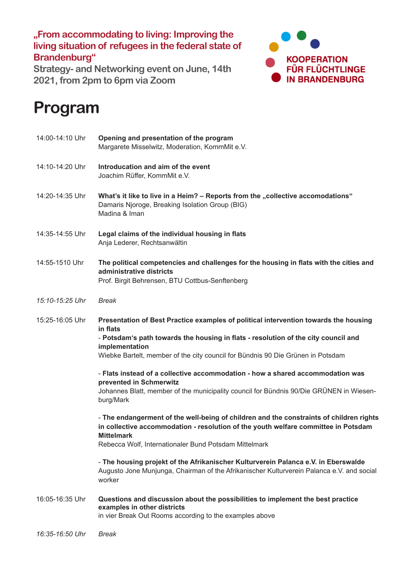**"From accommodating to living: Improving the living situation of refugees in the federal state of Brandenburg"**

**Strategy- and Networking event on June, 14th 2021, from 2pm to 6pm via Zoom**



## **Program**

| 14:00-14:10 Uhr | Opening and presentation of the program<br>Margarete Misselwitz, Moderation, KommMit e.V.                                                                                                                                                                                                   |
|-----------------|---------------------------------------------------------------------------------------------------------------------------------------------------------------------------------------------------------------------------------------------------------------------------------------------|
| 14:10-14:20 Uhr | Introducation and aim of the event<br>Joachim Rüffer, KommMit e.V.                                                                                                                                                                                                                          |
| 14:20-14:35 Uhr | What's it like to live in a Heim? - Reports from the "collective accomodations"<br>Damaris Njoroge, Breaking Isolation Group (BIG)<br>Madina & Iman                                                                                                                                         |
| 14:35-14:55 Uhr | Legal claims of the individual housing in flats<br>Anja Lederer, Rechtsanwältin                                                                                                                                                                                                             |
| 14:55-1510 Uhr  | The political competencies and challenges for the housing in flats with the cities and<br>administrative districts<br>Prof. Birgit Behrensen, BTU Cottbus-Senftenberg                                                                                                                       |
| 15:10-15:25 Uhr | <b>Break</b>                                                                                                                                                                                                                                                                                |
| 15:25-16:05 Uhr | Presentation of Best Practice examples of political intervention towards the housing<br>in flats<br>- Potsdam's path towards the housing in flats - resolution of the city council and<br>implementation<br>Wiebke Bartelt, member of the city council for Bündnis 90 Die Grünen in Potsdam |
|                 | - Flats instead of a collective accommodation - how a shared accommodation was<br>prevented in Schmerwitz<br>Johannes Blatt, member of the municipality council for Bündnis 90/Die GRÜNEN in Wiesen-<br>burg/Mark                                                                           |
|                 | - The endangerment of the well-being of children and the constraints of children rights<br>in collective accommodation - resolution of the youth welfare committee in Potsdam<br><b>Mittelmark</b><br>Rebecca Wolf, Internationaler Bund Potsdam Mittelmark                                 |
|                 | - The housing projekt of the Afrikanischer Kulturverein Palanca e.V. in Eberswalde<br>Augusto Jone Munjunga, Chairman of the Afrikanischer Kulturverein Palanca e.V. and social<br>worker                                                                                                   |
| 16:05-16:35 Uhr | Questions and discussion about the possibilities to implement the best practice<br>examples in other districts<br>in vier Break Out Rooms according to the examples above                                                                                                                   |
| 16:35-16:50 Uhr | <b>Break</b>                                                                                                                                                                                                                                                                                |